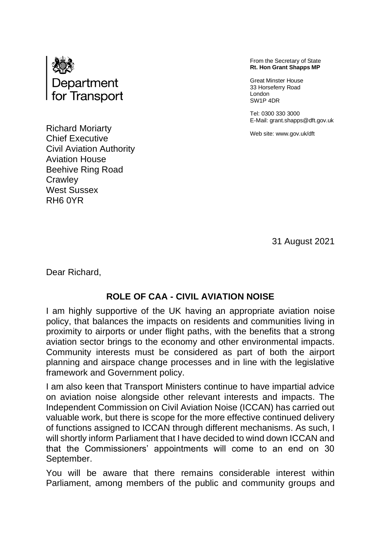

Richard Moriarty Chief Executive Civil Aviation Authority Aviation House Beehive Ring Road **Crawley** West Sussex RH6 0YR

From the Secretary of State **Rt. Hon Grant Shapps MP**

Great Minster House 33 Horseferry Road London SW1P 4DR

Tel: 0300 330 3000 E-Mail: grant.shapps@dft.gov.uk

Web site: www.gov.uk/dft

31 August 2021

Dear Richard,

## **ROLE OF CAA - CIVIL AVIATION NOISE**

I am highly supportive of the UK having an appropriate aviation noise policy, that balances the impacts on residents and communities living in proximity to airports or under flight paths, with the benefits that a strong aviation sector brings to the economy and other environmental impacts. Community interests must be considered as part of both the airport planning and airspace change processes and in line with the legislative framework and Government policy.

I am also keen that Transport Ministers continue to have impartial advice on aviation noise alongside other relevant interests and impacts. The Independent Commission on Civil Aviation Noise (ICCAN) has carried out valuable work, but there is scope for the more effective continued delivery of functions assigned to ICCAN through different mechanisms. As such, I will shortly inform Parliament that I have decided to wind down ICCAN and that the Commissioners' appointments will come to an end on 30 September.

You will be aware that there remains considerable interest within Parliament, among members of the public and community groups and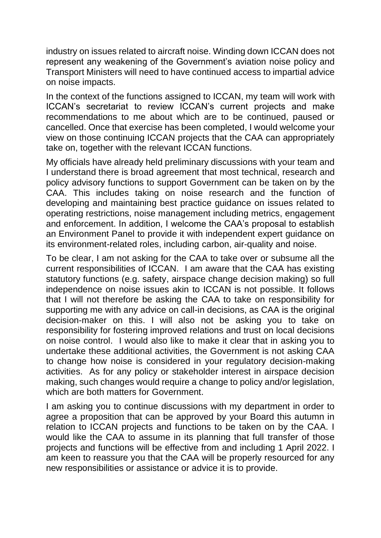industry on issues related to aircraft noise. Winding down ICCAN does not represent any weakening of the Government's aviation noise policy and Transport Ministers will need to have continued access to impartial advice on noise impacts.

In the context of the functions assigned to ICCAN, my team will work with ICCAN's secretariat to review ICCAN's current projects and make recommendations to me about which are to be continued, paused or cancelled. Once that exercise has been completed, I would welcome your view on those continuing ICCAN projects that the CAA can appropriately take on, together with the relevant ICCAN functions.

My officials have already held preliminary discussions with your team and I understand there is broad agreement that most technical, research and policy advisory functions to support Government can be taken on by the CAA. This includes taking on noise research and the function of developing and maintaining best practice guidance on issues related to operating restrictions, noise management including metrics, engagement and enforcement. In addition, I welcome the CAA's proposal to establish an Environment Panel to provide it with independent expert guidance on its environment-related roles, including carbon, air-quality and noise.

To be clear, I am not asking for the CAA to take over or subsume all the current responsibilities of ICCAN. I am aware that the CAA has existing statutory functions (e.g. safety, airspace change decision making) so full independence on noise issues akin to ICCAN is not possible. It follows that I will not therefore be asking the CAA to take on responsibility for supporting me with any advice on call-in decisions, as CAA is the original decision-maker on this. I will also not be asking you to take on responsibility for fostering improved relations and trust on local decisions on noise control. I would also like to make it clear that in asking you to undertake these additional activities, the Government is not asking CAA to change how noise is considered in your regulatory decision-making activities. As for any policy or stakeholder interest in airspace decision making, such changes would require a change to policy and/or legislation, which are both matters for Government.

I am asking you to continue discussions with my department in order to agree a proposition that can be approved by your Board this autumn in relation to ICCAN projects and functions to be taken on by the CAA. I would like the CAA to assume in its planning that full transfer of those projects and functions will be effective from and including 1 April 2022. I am keen to reassure you that the CAA will be properly resourced for any new responsibilities or assistance or advice it is to provide.